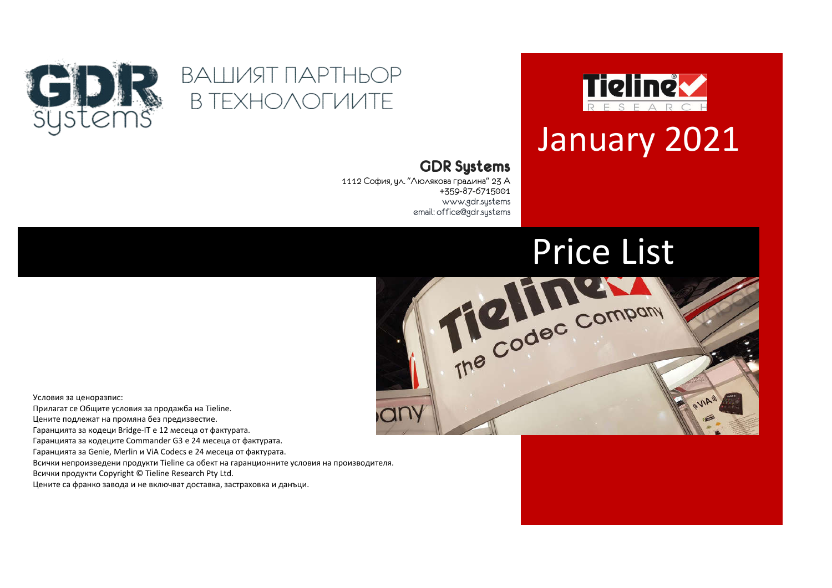

## January 2021

## ВАШИЯТ ПАРТНЬОР **B TEXHOAOFUUTE**



## **GDR Systems**

1112 София, ул. "Люлякова градина" 23 А +359-87-6715001 www.gdr.systems email: office@gdr.systems



Условия за ценоразпис:

Прилагат се Общите условия за продажба на Tieline.

Цените подлежат на промяна без предизвестие.

Гаранцията за кодеци Bridge-IT е 12 месеца от фактурата.

Гаранцията за кодеците Commander G3 е 24 месеца от фактурата.

Гаранцията за Genie, Merlin и ViA Codecs е 24 месеца от фактурата.

Всички непроизведени продукти Tieline са обект на гаранционните условия на производителя.

Всички продукти Copyright © Tieline Research Pty Ltd.

Цените са франко завода и не включват доставка, застраховка и данъци.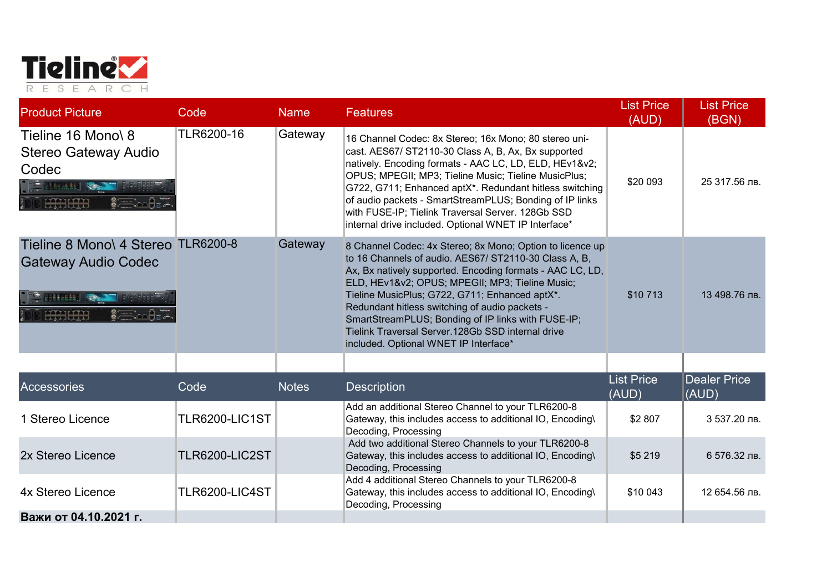

| <b>Product Picture</b>                                                                                                 | Code                  | <b>Name</b>  | <b>Features</b>                                                                                                                                                                                                                                                                                                                                                                                                                                                                           | <b>List Price</b><br>(AUD) | <b>List Price</b><br>(BGN)   |
|------------------------------------------------------------------------------------------------------------------------|-----------------------|--------------|-------------------------------------------------------------------------------------------------------------------------------------------------------------------------------------------------------------------------------------------------------------------------------------------------------------------------------------------------------------------------------------------------------------------------------------------------------------------------------------------|----------------------------|------------------------------|
| Tieline 16 Mono\ 8<br>Stereo Gateway Audio<br>Codec<br>$\mathbb{R}$ , which is a set of $\mathbb{R}$<br>premier premie | TLR6200-16            | Gateway      | 16 Channel Codec: 8x Stereo; 16x Mono; 80 stereo uni-<br>cast. AES67/ ST2110-30 Class A, B, Ax, Bx supported<br>natively. Encoding formats - AAC LC, LD, ELD, HEv1&v2<br>OPUS; MPEGII; MP3; Tieline Music; Tieline MusicPlus;<br>G722, G711; Enhanced aptX*. Redundant hitless switching<br>of audio packets - SmartStreamPLUS; Bonding of IP links<br>with FUSE-IP; Tielink Traversal Server. 128Gb SSD<br>internal drive included. Optional WNET IP Interface*                          | \$20 093                   | 25 317.56 лв.                |
| Tieline 8 Mono\ 4 Stereo TLR6200-8<br><b>Gateway Audio Codec</b><br>曲起进机<br>erante propie                              |                       | Gateway      | 8 Channel Codec: 4x Stereo; 8x Mono; Option to licence up<br>to 16 Channels of audio. AES67/ ST2110-30 Class A, B,<br>Ax, Bx natively supported. Encoding formats - AAC LC, LD,<br>ELD, HEv1&v2 OPUS; MPEGII; MP3; Tieline Music;<br>Tieline MusicPlus; G722, G711; Enhanced aptX*.<br>Redundant hitless switching of audio packets -<br>SmartStreamPLUS; Bonding of IP links with FUSE-IP;<br>Tielink Traversal Server.128Gb SSD internal drive<br>included. Optional WNET IP Interface* | \$10713                    | 13 498.76 лв.                |
|                                                                                                                        |                       |              |                                                                                                                                                                                                                                                                                                                                                                                                                                                                                           |                            |                              |
| Accessories                                                                                                            | Code                  | <b>Notes</b> | <b>Description</b>                                                                                                                                                                                                                                                                                                                                                                                                                                                                        | <b>List Price</b><br>(AUD) | <b>Dealer Price</b><br>(AUD) |
| 1 Stereo Licence                                                                                                       | <b>TLR6200-LIC1ST</b> |              | Add an additional Stereo Channel to your TLR6200-8<br>Gateway, this includes access to additional IO, Encoding\<br>Decoding, Processing                                                                                                                                                                                                                                                                                                                                                   | \$2 807                    | 3 537.20 лв.                 |
| 2x Stereo Licence                                                                                                      | <b>TLR6200-LIC2ST</b> |              | Add two additional Stereo Channels to your TLR6200-8<br>Gateway, this includes access to additional IO, Encoding\<br>Decoding, Processing                                                                                                                                                                                                                                                                                                                                                 | \$5 219                    | 6 576.32 лв.                 |
| 4x Stereo Licence                                                                                                      | TLR6200-LIC4ST        |              | Add 4 additional Stereo Channels to your TLR6200-8<br>Gateway, this includes access to additional IO, Encoding\<br>Decoding, Processing                                                                                                                                                                                                                                                                                                                                                   | \$10 043                   | 12 654.56 лв.                |
| Важи от 04.10.2021 г.                                                                                                  |                       |              |                                                                                                                                                                                                                                                                                                                                                                                                                                                                                           |                            |                              |